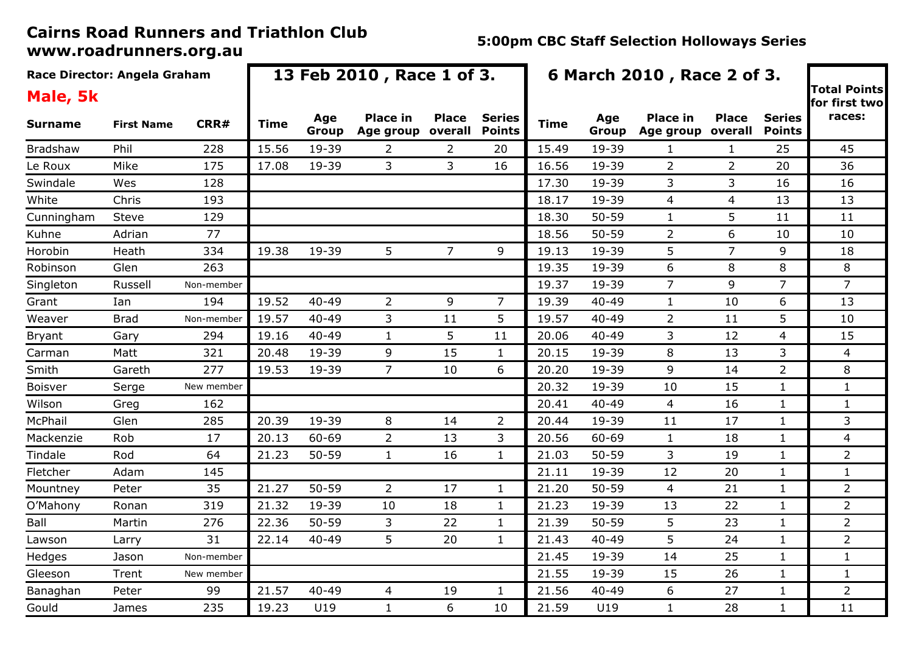| Race Director: Angela Graham |                   | 13 Feb 2010, Race 1 of 3. |       |              |                              |                         |                                | 6 March 2010, Race 2 of 3. |              |                              |                         |                                |                                      |
|------------------------------|-------------------|---------------------------|-------|--------------|------------------------------|-------------------------|--------------------------------|----------------------------|--------------|------------------------------|-------------------------|--------------------------------|--------------------------------------|
| Male, 5k                     |                   |                           |       |              |                              |                         |                                |                            |              |                              |                         |                                | <b>Total Points</b><br>for first two |
| <b>Surname</b>               | <b>First Name</b> | CRR#                      | Time  | Age<br>Group | <b>Place in</b><br>Age group | <b>Place</b><br>overall | <b>Series</b><br><b>Points</b> | <b>Time</b>                | Age<br>Group | <b>Place in</b><br>Age group | <b>Place</b><br>overall | <b>Series</b><br><b>Points</b> | races:                               |
| <b>Bradshaw</b>              | Phil              | 228                       | 15.56 | 19-39        | 2                            | $\overline{2}$          | 20                             | 15.49                      | 19-39        | 1                            | $\mathbf{1}$            | 25                             | 45                                   |
| Le Roux                      | Mike              | 175                       | 17.08 | 19-39        | 3                            | 3                       | 16                             | 16.56                      | 19-39        | $\overline{2}$               | $\overline{2}$          | 20                             | 36                                   |
| Swindale                     | Wes               | 128                       |       |              |                              |                         |                                | 17.30                      | 19-39        | 3                            | 3                       | 16                             | 16                                   |
| White                        | Chris             | 193                       |       |              |                              |                         |                                | 18.17                      | 19-39        | $\overline{4}$               | $\overline{4}$          | 13                             | 13                                   |
| Cunningham                   | Steve             | 129                       |       |              |                              |                         |                                | 18.30                      | $50 - 59$    | $\mathbf{1}$                 | 5                       | 11                             | 11                                   |
| Kuhne                        | Adrian            | 77                        |       |              |                              |                         |                                | 18.56                      | $50 - 59$    | $\overline{2}$               | 6                       | 10                             | 10                                   |
| Horobin                      | Heath             | 334                       | 19.38 | 19-39        | 5                            | $\overline{7}$          | 9                              | 19.13                      | 19-39        | 5                            | $\overline{7}$          | 9                              | 18                                   |
| Robinson                     | Glen              | 263                       |       |              |                              |                         |                                | 19.35                      | 19-39        | 6                            | 8                       | 8                              | 8                                    |
| Singleton                    | Russell           | Non-member                |       |              |                              |                         |                                | 19.37                      | 19-39        | $\overline{7}$               | 9                       | 7                              | $\overline{7}$                       |
| Grant                        | Ian               | 194                       | 19.52 | $40 - 49$    | 2                            | 9                       | 7                              | 19.39                      | $40 - 49$    | $\mathbf{1}$                 | 10                      | 6                              | 13                                   |
| Weaver                       | <b>Brad</b>       | Non-member                | 19.57 | $40 - 49$    | 3                            | 11                      | 5                              | 19.57                      | $40 - 49$    | $\overline{2}$               | 11                      | 5                              | 10                                   |
| <b>Bryant</b>                | Gary              | 294                       | 19.16 | $40 - 49$    | $\mathbf{1}$                 | 5                       | 11                             | 20.06                      | 40-49        | 3                            | 12                      | 4                              | 15                                   |
| Carman                       | Matt              | 321                       | 20.48 | 19-39        | 9                            | 15                      | $\mathbf{1}$                   | 20.15                      | 19-39        | 8                            | 13                      | 3                              | 4                                    |
| Smith                        | Gareth            | 277                       | 19.53 | 19-39        | $\overline{7}$               | 10                      | 6                              | 20.20                      | 19-39        | 9                            | 14                      | $\overline{2}$                 | 8                                    |
| Boisver                      | Serge             | New member                |       |              |                              |                         |                                | 20.32                      | 19-39        | 10                           | 15                      | $\mathbf{1}$                   | $\mathbf{1}$                         |
| Wilson                       | Greg              | 162                       |       |              |                              |                         |                                | 20.41                      | 40-49        | 4                            | 16                      | $\mathbf{1}$                   | $\mathbf{1}$                         |
| McPhail                      | Glen              | 285                       | 20.39 | 19-39        | 8                            | 14                      | $\overline{2}$                 | 20.44                      | 19-39        | 11                           | 17                      | $\mathbf{1}$                   | 3                                    |
| Mackenzie                    | Rob               | 17                        | 20.13 | 60-69        | $\overline{2}$               | 13                      | 3                              | 20.56                      | 60-69        | $\mathbf{1}$                 | 18                      | $\mathbf{1}$                   | 4                                    |
| Tindale                      | Rod               | 64                        | 21.23 | 50-59        | $\mathbf{1}$                 | 16                      | $\mathbf{1}$                   | 21.03                      | $50 - 59$    | 3                            | 19                      | $\mathbf{1}$                   | $\overline{2}$                       |
| Fletcher                     | Adam              | 145                       |       |              |                              |                         |                                | 21.11                      | 19-39        | 12                           | 20                      | $\mathbf{1}$                   | $\mathbf{1}$                         |
| Mountney                     | Peter             | 35                        | 21.27 | $50 - 59$    | $\overline{2}$               | 17                      | $\mathbf{1}$                   | 21.20                      | $50 - 59$    | $\overline{4}$               | 21                      | $\mathbf{1}$                   | $\overline{2}$                       |
| O'Mahony                     | Ronan             | 319                       | 21.32 | 19-39        | 10                           | 18                      | $\mathbf{1}$                   | 21.23                      | 19-39        | 13                           | 22                      | $\mathbf{1}$                   | $\overline{2}$                       |
| Ball                         | Martin            | 276                       | 22.36 | $50 - 59$    | 3                            | 22                      | $\mathbf{1}$                   | 21.39                      | $50 - 59$    | 5                            | 23                      | $\mathbf{1}$                   | $\overline{2}$                       |
| Lawson                       | Larry             | 31                        | 22.14 | $40 - 49$    | 5                            | 20                      | $\mathbf{1}$                   | 21.43                      | 40-49        | 5                            | 24                      | 1                              | $\overline{2}$                       |
| Hedges                       | Jason             | Non-member                |       |              |                              |                         |                                | 21.45                      | 19-39        | 14                           | 25                      | 1                              | $\mathbf{1}$                         |
| Gleeson                      | Trent             | New member                |       |              |                              |                         |                                | 21.55                      | 19-39        | 15                           | 26                      | $\mathbf{1}$                   | $\mathbf{1}$                         |
| Banaghan                     | Peter             | 99                        | 21.57 | $40 - 49$    | 4                            | 19                      | 1                              | 21.56                      | 40-49        | 6                            | 27                      | 1                              | $\overline{2}$                       |
| Gould                        | James             | 235                       | 19.23 | U19          | $\mathbf{1}$                 | 6                       | 10                             | 21.59                      | U19          | $\mathbf{1}$                 | 28                      | 1                              | 11                                   |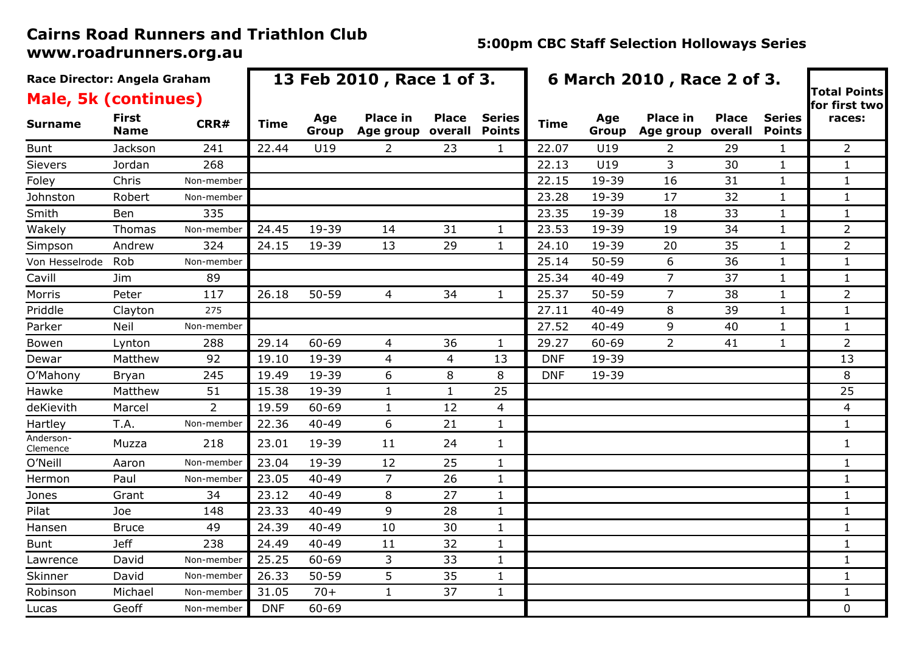| Race Director: Angela Graham<br><b>Male, 5k (continues)</b> |                      |                | 13 Feb 2010, Race 1 of 3. |              |                                             | 6 March 2010, Race 2 of 3. | <b>Total Points</b><br>for first two |             |              |                                      |              |                                |                |
|-------------------------------------------------------------|----------------------|----------------|---------------------------|--------------|---------------------------------------------|----------------------------|--------------------------------------|-------------|--------------|--------------------------------------|--------------|--------------------------------|----------------|
| <b>Surname</b>                                              | <b>First</b><br>Name | CRR#           | Time                      | Age<br>Group | <b>Place in</b><br>Age group overall Points | <b>Place</b>               | <b>Series</b>                        | <b>Time</b> | Age<br>Group | <b>Place in</b><br>Age group overall | <b>Place</b> | <b>Series</b><br><b>Points</b> | races:         |
| <b>Bunt</b>                                                 | Jackson              | 241            | 22.44                     | U19          | 2                                           | 23                         | 1                                    | 22.07       | U19          | 2                                    | 29           | 1                              | 2              |
| Sievers                                                     | Jordan               | 268            |                           |              |                                             |                            |                                      | 22.13       | U19          | 3                                    | 30           | 1                              | $\mathbf{1}$   |
| Foley                                                       | Chris                | Non-member     |                           |              |                                             |                            |                                      | 22.15       | 19-39        | 16                                   | 31           | 1                              | $\mathbf{1}$   |
| Johnston                                                    | Robert               | Non-member     |                           |              |                                             |                            |                                      | 23.28       | 19-39        | 17                                   | 32           | 1                              | 1              |
| Smith                                                       | Ben                  | 335            |                           |              |                                             |                            |                                      | 23.35       | 19-39        | 18                                   | 33           | 1                              | $\mathbf{1}$   |
| Wakely                                                      | Thomas               | Non-member     | 24.45                     | 19-39        | 14                                          | 31                         | 1                                    | 23.53       | 19-39        | 19                                   | 34           | 1                              | 2              |
| Simpson                                                     | Andrew               | 324            | 24.15                     | 19-39        | 13                                          | 29                         | $\mathbf{1}$                         | 24.10       | 19-39        | 20                                   | 35           | 1                              | $\overline{2}$ |
| Von Hesselrode                                              | Rob                  | Non-member     |                           |              |                                             |                            |                                      | 25.14       | $50 - 59$    | 6                                    | 36           | 1                              | $\mathbf{1}$   |
| Cavill                                                      | Jim                  | 89             |                           |              |                                             |                            |                                      | 25.34       | 40-49        | $\overline{7}$                       | 37           | 1                              | $\mathbf{1}$   |
| Morris                                                      | Peter                | 117            | 26.18                     | $50 - 59$    | 4                                           | 34                         | $\mathbf{1}$                         | 25.37       | $50 - 59$    | $\overline{7}$                       | 38           | 1                              | $\overline{2}$ |
| Priddle                                                     | Clayton              | 275            |                           |              |                                             |                            |                                      | 27.11       | 40-49        | 8                                    | 39           | 1                              | 1              |
| Parker                                                      | Neil                 | Non-member     |                           |              |                                             |                            |                                      | 27.52       | 40-49        | 9                                    | 40           | 1                              | $\mathbf{1}$   |
| Bowen                                                       | Lynton               | 288            | 29.14                     | 60-69        | 4                                           | 36                         | $\mathbf{1}$                         | 29.27       | 60-69        | $\overline{2}$                       | 41           | 1                              | $\overline{2}$ |
| Dewar                                                       | Matthew              | 92             | 19.10                     | 19-39        | 4                                           | 4                          | 13                                   | <b>DNF</b>  | 19-39        |                                      |              |                                | 13             |
| O'Mahony                                                    | Bryan                | 245            | 19.49                     | 19-39        | 6                                           | 8                          | 8                                    | <b>DNF</b>  | 19-39        |                                      |              |                                | 8              |
| Hawke                                                       | Matthew              | 51             | 15.38                     | 19-39        | $\mathbf{1}$                                | $\mathbf{1}$               | 25                                   |             |              |                                      |              |                                | 25             |
| deKievith                                                   | Marcel               | $\overline{2}$ | 19.59                     | 60-69        | $\mathbf{1}$                                | 12                         | 4                                    |             |              |                                      |              |                                | 4              |
| Hartley                                                     | T.A.                 | Non-member     | 22.36                     | $40 - 49$    | 6                                           | 21                         | $\mathbf{1}$                         |             |              |                                      |              |                                | $\mathbf{1}$   |
| Anderson-<br>Clemence                                       | Muzza                | 218            | 23.01                     | 19-39        | 11                                          | 24                         | $\mathbf{1}$                         |             |              |                                      |              |                                | $\mathbf{1}$   |
| O'Neill                                                     | Aaron                | Non-member     | 23.04                     | 19-39        | 12                                          | 25                         | $\mathbf{1}$                         |             |              |                                      |              |                                | 1              |
| Hermon                                                      | Paul                 | Non-member     | 23.05                     | $40 - 49$    | $\overline{7}$                              | 26                         | $\mathbf{1}$                         |             |              |                                      |              |                                | $\mathbf{1}$   |
| Jones                                                       | Grant                | 34             | 23.12                     | $40 - 49$    | 8                                           | 27                         | $\mathbf{1}$                         |             |              |                                      |              |                                | 1              |
| Pilat                                                       | Joe                  | 148            | 23.33                     | $40 - 49$    | 9                                           | 28                         | $\mathbf{1}$                         |             |              |                                      |              |                                | $\mathbf{1}$   |
| Hansen                                                      | Bruce                | 49             | 24.39                     | $40 - 49$    | 10                                          | 30                         | $\mathbf{1}$                         |             |              |                                      |              |                                | 1              |
| <b>Bunt</b>                                                 | <b>Jeff</b>          | 238            | 24.49                     | $40 - 49$    | 11                                          | 32                         | $\mathbf{1}$                         |             |              |                                      |              |                                | 1              |
| Lawrence                                                    | David                | Non-member     | 25.25                     | 60-69        | 3                                           | 33                         | $\mathbf{1}$                         |             |              |                                      |              |                                | 1              |
| Skinner                                                     | David                | Non-member     | 26.33                     | $50 - 59$    | 5                                           | 35                         | $\mathbf{1}$                         |             |              |                                      |              |                                | 1              |
| Robinson                                                    | Michael              | Non-member     | 31.05                     | $70+$        | $\mathbf{1}$                                | 37                         | $\mathbf{1}$                         |             |              |                                      |              |                                | $\mathbf{1}$   |
| Lucas                                                       | Geoff                | Non-member     | <b>DNF</b>                | 60-69        |                                             |                            |                                      |             |              |                                      |              |                                | 0              |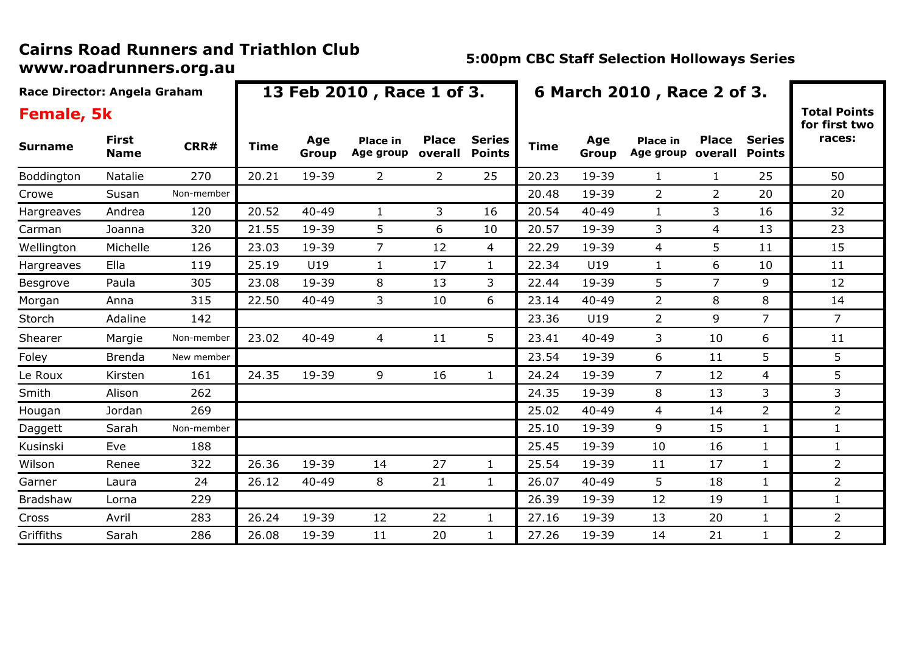| Race Director: Angela Graham |                      |            |             |              | 13 Feb 2010, Race 1 of 3.    |                         |                                | 6 March 2010, Race 2 of 3. |              |                              |                         |                                |                                      |
|------------------------------|----------------------|------------|-------------|--------------|------------------------------|-------------------------|--------------------------------|----------------------------|--------------|------------------------------|-------------------------|--------------------------------|--------------------------------------|
| <b>Female, 5k</b>            |                      |            |             |              |                              |                         |                                |                            |              |                              |                         |                                | <b>Total Points</b><br>for first two |
| <b>Surname</b>               | First<br><b>Name</b> | CRR#       | <b>Time</b> | Age<br>Group | <b>Place in</b><br>Age group | <b>Place</b><br>overall | <b>Series</b><br><b>Points</b> | <b>Time</b>                | Age<br>Group | <b>Place in</b><br>Age group | <b>Place</b><br>overall | <b>Series</b><br><b>Points</b> | races:                               |
| Boddington                   | Natalie              | 270        | 20.21       | 19-39        | $\overline{2}$               | $\overline{2}$          | 25                             | 20.23                      | 19-39        | $\mathbf{1}$                 | $\mathbf{1}$            | 25                             | 50                                   |
| Crowe                        | Susan                | Non-member |             |              |                              |                         |                                | 20.48                      | 19-39        | $\overline{2}$               | $\overline{2}$          | 20                             | 20                                   |
| Hargreaves                   | Andrea               | 120        | 20.52       | $40 - 49$    | 1                            | 3                       | 16                             | 20.54                      | $40 - 49$    | $\mathbf{1}$                 | 3                       | 16                             | 32                                   |
| Carman                       | Joanna               | 320        | 21.55       | 19-39        | 5                            | 6                       | 10                             | 20.57                      | 19-39        | 3                            | 4                       | 13                             | 23                                   |
| Wellington                   | Michelle             | 126        | 23.03       | 19-39        | $\overline{7}$               | 12                      | 4                              | 22.29                      | 19-39        | $\overline{4}$               | 5                       | 11                             | 15                                   |
| Hargreaves                   | Ella                 | 119        | 25.19       | U19          | 1                            | 17                      | $\mathbf{1}$                   | 22.34                      | U19          | $\mathbf{1}$                 | 6                       | 10                             | 11                                   |
| Besgrove                     | Paula                | 305        | 23.08       | 19-39        | 8                            | 13                      | 3                              | 22.44                      | 19-39        | 5                            | $\overline{7}$          | 9                              | 12                                   |
| Morgan                       | Anna                 | 315        | 22.50       | $40 - 49$    | 3                            | 10                      | 6                              | 23.14                      | $40 - 49$    | $\overline{2}$               | 8                       | 8                              | 14                                   |
| Storch                       | Adaline              | 142        |             |              |                              |                         |                                | 23.36                      | U19          | $\overline{2}$               | 9                       | $\overline{7}$                 | $\overline{7}$                       |
| Shearer                      | Margie               | Non-member | 23.02       | $40 - 49$    | 4                            | 11                      | 5                              | 23.41                      | $40 - 49$    | 3                            | 10                      | 6                              | 11                                   |
| Foley                        | <b>Brenda</b>        | New member |             |              |                              |                         |                                | 23.54                      | 19-39        | 6                            | 11                      | 5                              | 5                                    |
| Le Roux                      | Kirsten              | 161        | 24.35       | 19-39        | 9                            | 16                      | $\mathbf{1}$                   | 24.24                      | 19-39        | $\overline{7}$               | 12                      | $\overline{4}$                 | 5                                    |
| Smith                        | Alison               | 262        |             |              |                              |                         |                                | 24.35                      | 19-39        | 8                            | 13                      | 3                              | 3                                    |
| Hougan                       | Jordan               | 269        |             |              |                              |                         |                                | 25.02                      | $40 - 49$    | 4                            | 14                      | $\overline{2}$                 | $\overline{2}$                       |
| Daggett                      | Sarah                | Non-member |             |              |                              |                         |                                | 25.10                      | 19-39        | 9                            | 15                      | $\mathbf{1}$                   | $\mathbf{1}$                         |
| Kusinski                     | Eve                  | 188        |             |              |                              |                         |                                | 25.45                      | 19-39        | 10                           | 16                      | $\mathbf{1}$                   | 1                                    |
| Wilson                       | Renee                | 322        | 26.36       | 19-39        | 14                           | 27                      | $\mathbf{1}$                   | 25.54                      | 19-39        | 11                           | 17                      | $\mathbf{1}$                   | $\overline{2}$                       |
| Garner                       | Laura                | 24         | 26.12       | $40 - 49$    | 8                            | 21                      | $\mathbf{1}$                   | 26.07                      | $40 - 49$    | 5                            | 18                      | $\mathbf{1}$                   | $\overline{2}$                       |
| Bradshaw                     | Lorna                | 229        |             |              |                              |                         |                                | 26.39                      | 19-39        | 12                           | 19                      | $\mathbf{1}$                   | $\mathbf{1}$                         |
| Cross                        | Avril                | 283        | 26.24       | 19-39        | 12                           | 22                      | $\mathbf{1}$                   | 27.16                      | 19-39        | 13                           | 20                      | $\mathbf{1}$                   | $\overline{2}$                       |
| Griffiths                    | Sarah                | 286        | 26.08       | 19-39        | 11                           | 20                      | $\mathbf{1}$                   | 27.26                      | 19-39        | 14                           | 21                      | $\mathbf{1}$                   | $\overline{2}$                       |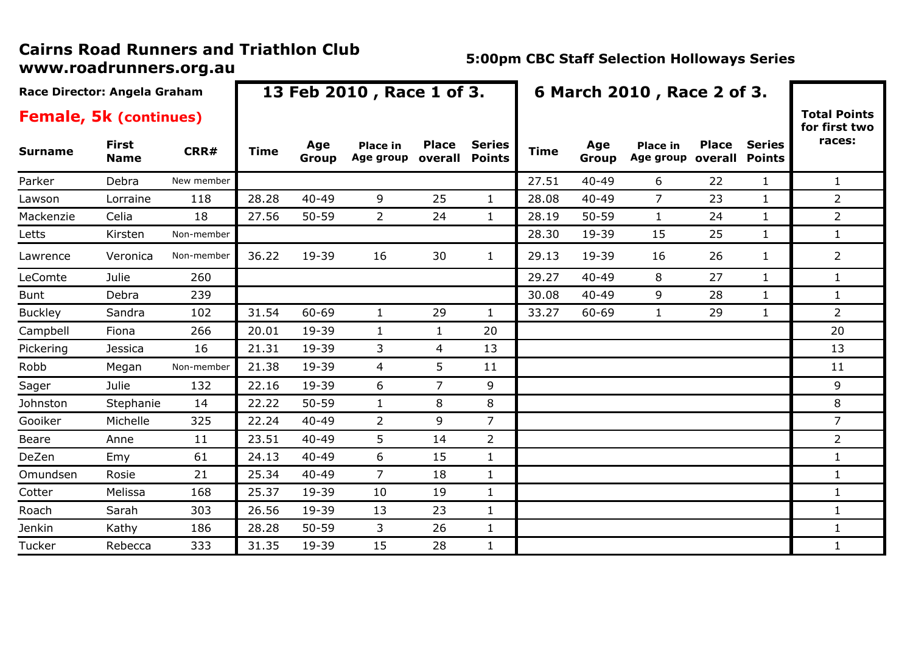|                | Race Director: Angela Graham  |            |             |              | 13 Feb 2010, Race 1 of 3.    |                         |                                | 6 March 2010, Race 2 of 3. |              |                              |                         |                                |                                      |
|----------------|-------------------------------|------------|-------------|--------------|------------------------------|-------------------------|--------------------------------|----------------------------|--------------|------------------------------|-------------------------|--------------------------------|--------------------------------------|
|                | <b>Female, 5k (continues)</b> |            |             |              |                              |                         |                                |                            |              |                              |                         |                                | <b>Total Points</b><br>for first two |
| <b>Surname</b> | <b>First</b><br><b>Name</b>   | CRR#       | <b>Time</b> | Age<br>Group | <b>Place in</b><br>Age group | <b>Place</b><br>overall | <b>Series</b><br><b>Points</b> | <b>Time</b>                | Age<br>Group | <b>Place in</b><br>Age group | <b>Place</b><br>overall | <b>Series</b><br><b>Points</b> | races:                               |
| Parker         | Debra                         | New member |             |              |                              |                         |                                | 27.51                      | $40 - 49$    | 6                            | 22                      | 1                              | $\mathbf{1}$                         |
| Lawson         | Lorraine                      | 118        | 28.28       | $40 - 49$    | 9                            | 25                      | $\mathbf{1}$                   | 28.08                      | 40-49        | $\overline{7}$               | 23                      | $\mathbf{1}$                   | $\overline{2}$                       |
| Mackenzie      | Celia                         | 18         | 27.56       | $50 - 59$    | $\overline{2}$               | 24                      | $\mathbf{1}$                   | 28.19                      | 50-59        | $\mathbf{1}$                 | 24                      | $\mathbf{1}$                   | $\overline{2}$                       |
| Letts          | Kirsten                       | Non-member |             |              |                              |                         |                                | 28.30                      | 19-39        | 15                           | 25                      | $\mathbf{1}$                   | $\mathbf{1}$                         |
| Lawrence       | Veronica                      | Non-member | 36.22       | 19-39        | 16                           | 30                      | $\mathbf{1}$                   | 29.13                      | 19-39        | 16                           | 26                      | $\mathbf{1}$                   | $\overline{2}$                       |
| LeComte        | Julie                         | 260        |             |              |                              |                         |                                | 29.27                      | $40 - 49$    | 8                            | 27                      | $\mathbf{1}$                   | $\mathbf{1}$                         |
| <b>Bunt</b>    | Debra                         | 239        |             |              |                              |                         |                                | 30.08                      | $40 - 49$    | 9                            | 28                      | $\mathbf{1}$                   | $\mathbf{1}$                         |
| <b>Buckley</b> | Sandra                        | 102        | 31.54       | 60-69        | $\mathbf{1}$                 | 29                      | $\mathbf{1}$                   | 33.27                      | 60-69        | $\mathbf{1}$                 | 29                      | $\mathbf{1}$                   | $\overline{2}$                       |
| Campbell       | Fiona                         | 266        | 20.01       | 19-39        | $\mathbf{1}$                 | $\mathbf{1}$            | 20                             |                            |              |                              |                         |                                | 20                                   |
| Pickering      | Jessica                       | 16         | 21.31       | 19-39        | 3                            | 4                       | 13                             |                            |              |                              |                         |                                | 13                                   |
| Robb           | Megan                         | Non-member | 21.38       | 19-39        | 4                            | 5                       | 11                             |                            |              |                              |                         |                                | 11                                   |
| Sager          | Julie                         | 132        | 22.16       | 19-39        | 6                            | $\overline{7}$          | 9                              |                            |              |                              |                         |                                | 9                                    |
| Johnston       | Stephanie                     | 14         | 22.22       | $50 - 59$    | $\mathbf{1}$                 | 8                       | 8                              |                            |              |                              |                         |                                | 8                                    |
| Gooiker        | Michelle                      | 325        | 22.24       | $40 - 49$    | $\overline{2}$               | 9                       | $\overline{7}$                 |                            |              |                              |                         |                                | $\overline{7}$                       |
| Beare          | Anne                          | 11         | 23.51       | $40 - 49$    | 5                            | 14                      | $\overline{2}$                 |                            |              |                              |                         |                                | $\overline{2}$                       |
| DeZen          | Emy                           | 61         | 24.13       | $40 - 49$    | 6                            | 15                      | $\mathbf{1}$                   |                            |              |                              |                         |                                | $\mathbf{1}$                         |
| Omundsen       | Rosie                         | 21         | 25.34       | $40 - 49$    | $\overline{7}$               | 18                      | $\mathbf{1}$                   |                            |              |                              |                         |                                | $\mathbf{1}$                         |
| Cotter         | Melissa                       | 168        | 25.37       | 19-39        | 10                           | 19                      | $\mathbf{1}$                   |                            |              |                              |                         |                                | 1                                    |
| Roach          | Sarah                         | 303        | 26.56       | 19-39        | 13                           | 23                      | $\mathbf{1}$                   |                            |              |                              |                         |                                | $\mathbf{1}$                         |
| Jenkin         | Kathy                         | 186        | 28.28       | $50 - 59$    | 3                            | 26                      | $\mathbf{1}$                   |                            |              |                              |                         |                                | $\mathbf{1}$                         |
| Tucker         | Rebecca                       | 333        | 31.35       | 19-39        | 15                           | 28                      | $\mathbf{1}$                   |                            |              |                              |                         |                                | $\mathbf{1}$                         |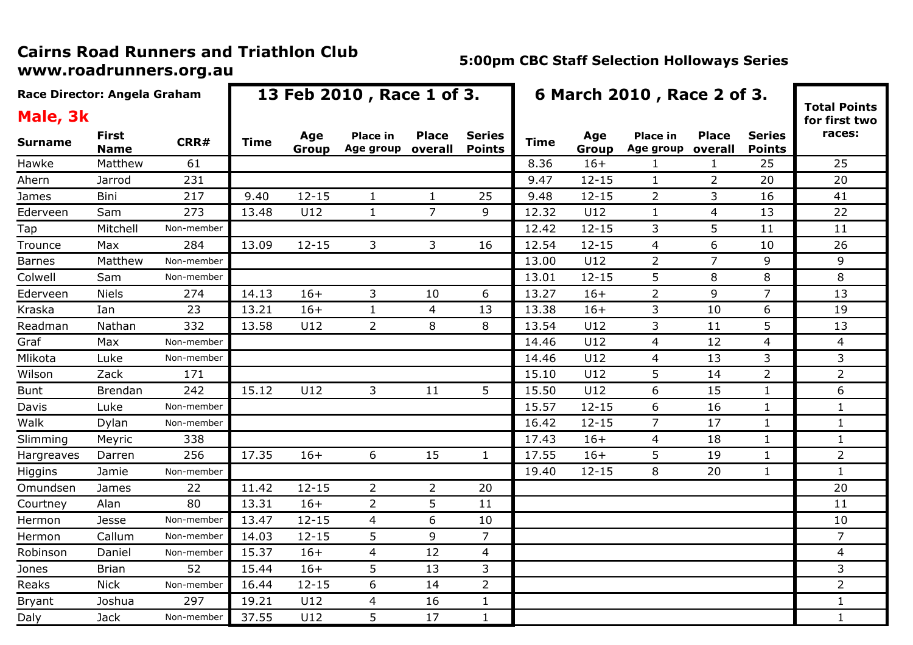| Race Director: Angela Graham |                             |            |       |              | 13 Feb 2010, Race 1 of 3.    |                         | 6 March 2010, Race 2 of 3.     |             |              |                              |                         |                                |                                      |
|------------------------------|-----------------------------|------------|-------|--------------|------------------------------|-------------------------|--------------------------------|-------------|--------------|------------------------------|-------------------------|--------------------------------|--------------------------------------|
| Male, 3k                     |                             |            |       |              |                              |                         |                                |             |              |                              |                         |                                | <b>Total Points</b><br>for first two |
| <b>Surname</b>               | <b>First</b><br><b>Name</b> | CRR#       | Time  | Age<br>Group | <b>Place in</b><br>Age group | <b>Place</b><br>overall | <b>Series</b><br><b>Points</b> | <b>Time</b> | Age<br>Group | <b>Place in</b><br>Age group | <b>Place</b><br>overall | <b>Series</b><br><b>Points</b> | races:                               |
| Hawke                        | Matthew                     | 61         |       |              |                              |                         |                                | 8.36        | $16+$        | -1                           | 1                       | 25                             | 25                                   |
| Ahern                        | Jarrod                      | 231        |       |              |                              |                         |                                | 9.47        | $12 - 15$    | $\mathbf{1}$                 | $\overline{2}$          | 20                             | 20                                   |
| James                        | Bini                        | 217        | 9.40  | $12 - 15$    | $\mathbf{1}$                 | $\mathbf{1}$            | 25                             | 9.48        | $12 - 15$    | $\overline{2}$               | 3                       | 16                             | 41                                   |
| Ederveen                     | Sam                         | 273        | 13.48 | U12          | $\mathbf{1}$                 | $\overline{7}$          | 9                              | 12.32       | U12          | $\mathbf{1}$                 | 4                       | 13                             | 22                                   |
| Tap                          | Mitchell                    | Non-member |       |              |                              |                         |                                | 12.42       | $12 - 15$    | 3                            | 5                       | 11                             | 11                                   |
| Trounce                      | Max                         | 284        | 13.09 | $12 - 15$    | 3                            | 3                       | 16                             | 12.54       | $12 - 15$    | 4                            | 6                       | 10                             | 26                                   |
| <b>Barnes</b>                | Matthew                     | Non-member |       |              |                              |                         |                                | 13.00       | U12          | $\overline{2}$               | $\overline{7}$          | 9                              | 9                                    |
| Colwell                      | Sam                         | Non-member |       |              |                              |                         |                                | 13.01       | $12 - 15$    | 5                            | 8                       | 8                              | 8                                    |
| Ederveen                     | <b>Niels</b>                | 274        | 14.13 | $16+$        | $\mathsf{3}$                 | 10                      | 6                              | 13.27       | $16+$        | $\overline{2}$               | 9                       | $\overline{7}$                 | 13                                   |
| Kraska                       | Ian                         | 23         | 13.21 | $16+$        | $\mathbf{1}$                 | 4                       | 13                             | 13.38       | $16+$        | 3                            | 10                      | 6                              | 19                                   |
| Readman                      | Nathan                      | 332        | 13.58 | U12          | $\overline{2}$               | 8                       | 8                              | 13.54       | U12          | 3                            | 11                      | 5                              | 13                                   |
| Graf                         | Max                         | Non-member |       |              |                              |                         |                                | 14.46       | U12          | 4                            | 12                      | 4                              | 4                                    |
| Mlikota                      | Luke                        | Non-member |       |              |                              |                         |                                | 14.46       | U12          | $\overline{4}$               | 13                      | 3                              | 3                                    |
| Wilson                       | Zack                        | 171        |       |              |                              |                         |                                | 15.10       | U12          | 5                            | 14                      | $\overline{2}$                 | $\overline{2}$                       |
| <b>Bunt</b>                  | <b>Brendan</b>              | 242        | 15.12 | U12          | 3                            | 11                      | 5                              | 15.50       | U12          | 6                            | 15                      | $\mathbf{1}$                   | 6                                    |
| Davis                        | Luke                        | Non-member |       |              |                              |                         |                                | 15.57       | $12 - 15$    | $6\,$                        | 16                      | $\mathbf{1}$                   | $\mathbf{1}$                         |
| Walk                         | Dylan                       | Non-member |       |              |                              |                         |                                | 16.42       | $12 - 15$    | $\overline{7}$               | 17                      | $\mathbf{1}$                   | $\mathbf{1}$                         |
| Slimming                     | Meyric                      | 338        |       |              |                              |                         |                                | 17.43       | $16+$        | $\overline{4}$               | 18                      | $\mathbf{1}$                   | $\mathbf{1}$                         |
| Hargreaves                   | Darren                      | 256        | 17.35 | $16+$        | 6                            | 15                      | $\mathbf{1}$                   | 17.55       | $16+$        | 5                            | 19                      | $\mathbf{1}$                   | $\overline{2}$                       |
| Higgins                      | Jamie                       | Non-member |       |              |                              |                         |                                | 19.40       | $12 - 15$    | 8                            | 20                      | $\mathbf{1}$                   | $\mathbf{1}$                         |
| Omundsen                     | James                       | 22         | 11.42 | $12 - 15$    | $\overline{2}$               | $\overline{2}$          | 20                             |             |              |                              |                         |                                | 20                                   |
| Courtney                     | Alan                        | 80         | 13.31 | $16+$        | $\overline{2}$               | 5                       | 11                             |             |              |                              |                         |                                | 11                                   |
| Hermon                       | <b>Jesse</b>                | Non-member | 13.47 | $12 - 15$    | $\overline{4}$               | 6                       | 10                             |             |              |                              |                         |                                | 10                                   |
| Hermon                       | Callum                      | Non-member | 14.03 | $12 - 15$    | 5                            | 9                       | $\overline{7}$                 |             |              |                              |                         |                                | $\overline{7}$                       |
| Robinson                     | Daniel                      | Non-member | 15.37 | $16+$        | 4                            | 12                      | 4                              |             |              |                              |                         |                                | 4                                    |
| Jones                        | <b>Brian</b>                | 52         | 15.44 | $16+$        | 5                            | 13                      | 3                              |             |              |                              |                         |                                | 3                                    |
| Reaks                        | <b>Nick</b>                 | Non-member | 16.44 | $12 - 15$    | 6                            | 14                      | $\overline{2}$                 |             |              |                              |                         |                                | $\overline{2}$                       |
| Bryant                       | Joshua                      | 297        | 19.21 | U12          | 4                            | 16                      | $\mathbf{1}$                   |             |              |                              |                         |                                | $\mathbf{1}$                         |
| Daly                         | <b>Jack</b>                 | Non-member | 37.55 | U12          | 5                            | 17                      | $\mathbf{1}$                   |             |              |                              |                         |                                | $\mathbf{1}$                         |